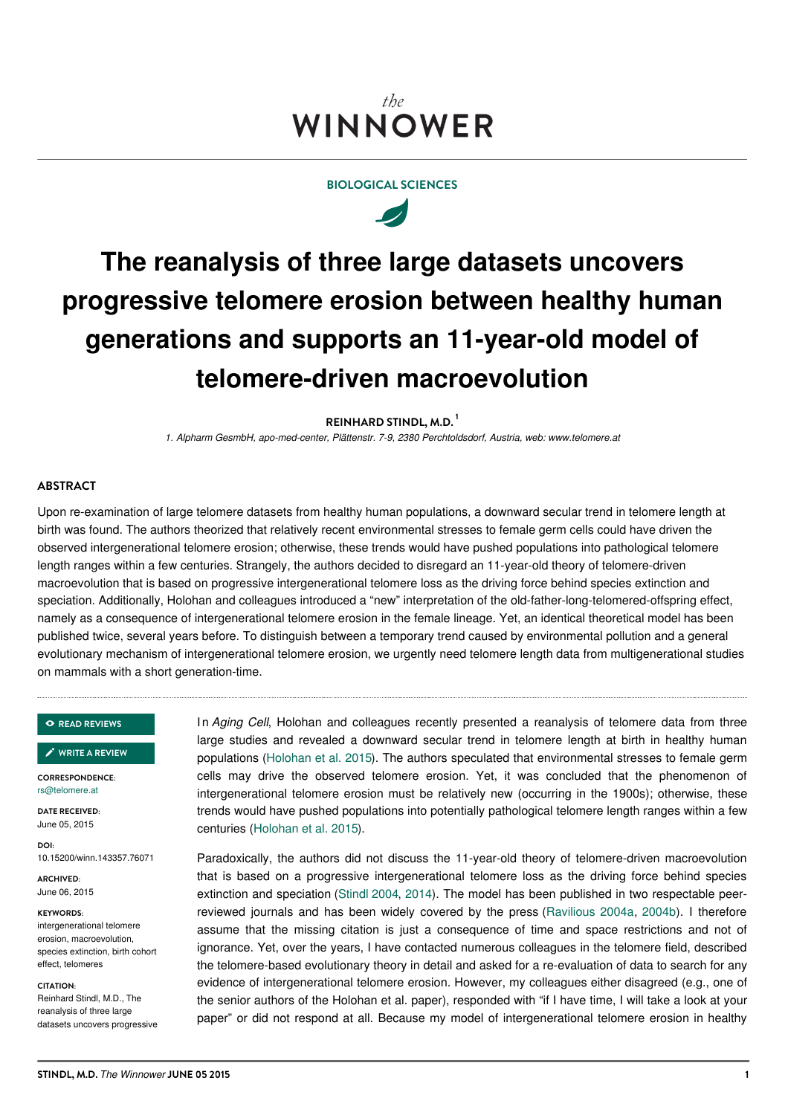# the WINNOWER

# **BIOLOGICAL SCIENCES**



# **The reanalysis of three large datasets uncovers progressive telomere erosion between healthy human generations and supports an 11-year-old model of telomere-driven macroevolution**

**REINHARD STINDL, M.D. 1**

*1. Alpharm GesmbH, apo-med-center, Plättenstr. 7-9, 2380 Perchtoldsdorf, Austria, web: www.telomere.at*

## **ABSTRACT**

Upon re-examination of large telomere datasets from healthy human populations, a downward secular trend in telomere length at birth was found. The authors theorized that relatively recent environmental stresses to female germ cells could have driven the observed intergenerational telomere erosion; otherwise, these trends would have pushed populations into pathological telomere length ranges within a few centuries. Strangely, the authors decided to disregard an 11-year-old theory of telomere-driven macroevolution that is based on progressive intergenerational telomere loss as the driving force behind species extinction and speciation. Additionally, Holohan and colleagues introduced a "new" interpretation of the old-father-long-telomered-offspring effect, namely as a consequence of intergenerational telomere erosion in the female lineage. Yet, an identical theoretical model has been published twice, several years before. To distinguish between a temporary trend caused by environmental pollution and a general evolutionary mechanism of intergenerational telomere erosion, we urgently need telomere length data from multigenerational studies on mammals with a short generation-time.

#### **READ [REVIEWS](https://thewinnower.com/papers/the-reanalysis-of-three-large-datasets-uncovers-progressive-telomere-erosion-between-healthy-human-generations-and-supports-an-11-year-old-model-of-telomere-driven-macroevolution#submit)**

**WRITE A [REVIEW](https://thewinnower.com/papers/the-reanalysis-of-three-large-datasets-uncovers-progressive-telomere-erosion-between-healthy-human-generations-and-supports-an-11-year-old-model-of-telomere-driven-macroevolution#submit)** ✎

**CORRESPONDENCE:** [rs@telomere.at](mailto:rs@telomere.at)

**DATE RECEIVED:** June 05, 2015

**DOI:** 10.15200/winn.143357.76071

**ARCHIVED:** June 06, 2015

#### **KEYWORDS:**

intergenerational telomere erosion, macroevolution, species extinction, birth cohort effect, telomeres

#### **CITATION:**

Reinhard Stindl, M.D., The reanalysis of three large datasets uncovers progressive In *Aging Cell*, Holohan and colleagues recently presented a reanalysis of telomere data from three large studies and revealed a downward secular trend in telomere length at birth in healthy human populations (Holohan et al. 2015). The authors speculated that environmental stresses to female germ cells may drive the observed telomere erosion. Yet, it was concluded that the phenomenon of intergenerational telomere erosion must be relatively new (occurring in the 1900s); otherwise, these trends would have pushed populations into potentially pathological telomere length ranges within a few centuries (Holohan et al. 2015).

Paradoxically, the authors did not discuss the 11-year-old theory of telomere-driven macroevolution that is based on a progressive intergenerational telomere loss as the driving force behind species extinction and speciation (Stindl 2004, 2014). The model has been published in two respectable peerreviewed journals and has been widely covered by the press (Ravilious 2004a, 2004b). I therefore assume that the missing citation is just a consequence of time and space restrictions and not of ignorance. Yet, over the years, I have contacted numerous colleagues in the telomere field, described the telomere-based evolutionary theory in detail and asked for a re-evaluation of data to search for any evidence of intergenerational telomere erosion. However, my colleagues either disagreed (e.g., one of the senior authors of the Holohan et al. paper), responded with "if I have time, I will take a look at your paper" or did not respond at all. Because my model of intergenerational telomere erosion in healthy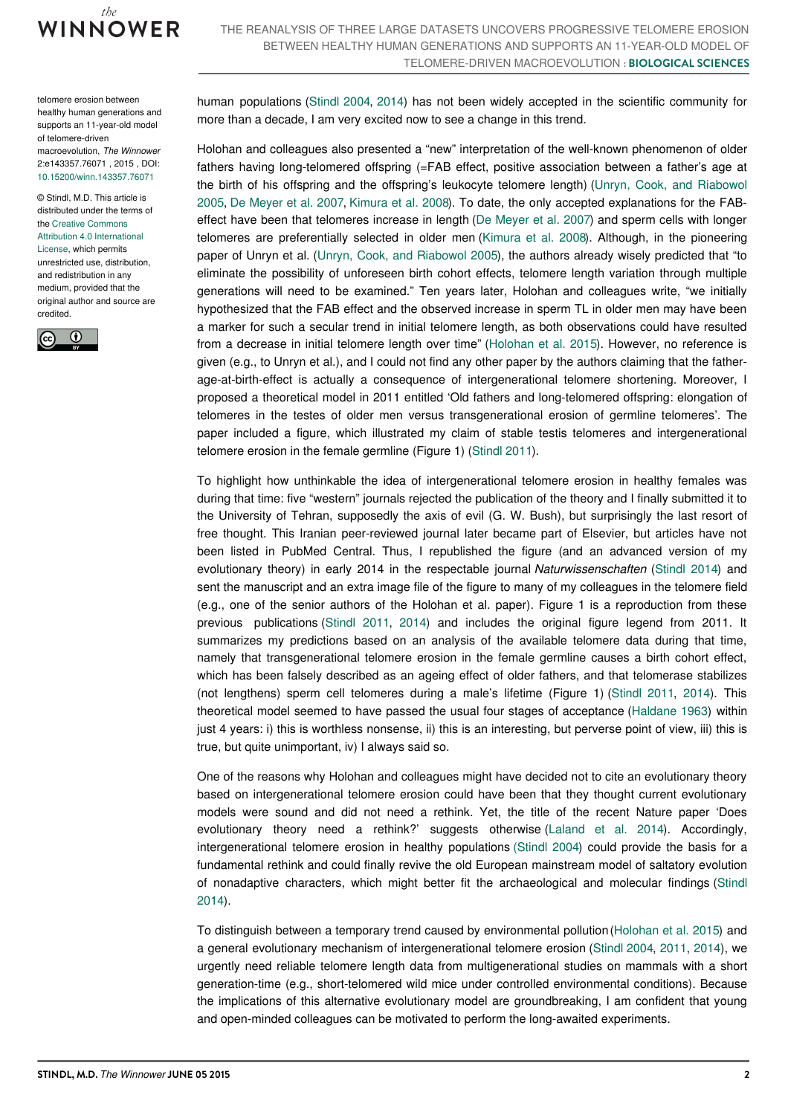

telomere erosion between healthy human generations and supports an 11-year-old model of telomere-driven macroevolution, *The Winnower* 2:e143357.76071 , 2015 , DOI: [10.15200/winn.143357.76071](https://dx.doi.org/10.15200/winn.143357.76071)

© Stindl, M.D. This article is distributed under the terms of the Creative Commons Attribution 4.0 [International](https://creativecommons.org/licenses/by/4.0/) License, which permits unrestricted use, distribution, and redistribution in any medium, provided that the

original author and source are credited.  $\odot$  $\epsilon$ 

human populations (Stindl 2004, 2014) has not been widely accepted in the scientific community for more than a decade, I am very excited now to see a change in this trend.

Holohan and colleagues also presented a "new" interpretation of the well-known phenomenon of older fathers having long-telomered offspring (=FAB effect, positive association between a father's age at the birth of his offspring and the offspring's leukocyte telomere length) (Unryn, Cook, and Riabowol 2005, De Meyer et al. 2007, Kimura et al. 2008). To date, the only accepted explanations for the FABeffect have been that telomeres increase in length (De Meyer et al. 2007) and sperm cells with longer telomeres are preferentially selected in older men (Kimura et al. 2008). Although, in the pioneering paper of Unryn et al. (Unryn, Cook, and Riabowol 2005), the authors already wisely predicted that "to eliminate the possibility of unforeseen birth cohort effects, telomere length variation through multiple generations will need to be examined." Ten years later, Holohan and colleagues write, "we initially hypothesized that the FAB effect and the observed increase in sperm TL in older men may have been a marker for such a secular trend in initial telomere length, as both observations could have resulted from a decrease in initial telomere length over time" (Holohan et al. 2015). However, no reference is given (e.g., to Unryn et al.), and I could not find any other paper by the authors claiming that the fatherage-at-birth-effect is actually a consequence of intergenerational telomere shortening. Moreover, I proposed a theoretical model in 2011 entitled 'Old fathers and long-telomered offspring: elongation of telomeres in the testes of older men versus transgenerational erosion of germline telomeres'. The paper included a figure, which illustrated my claim of stable testis telomeres and intergenerational telomere erosion in the female germline (Figure 1) (Stindl 2011).

To highlight how unthinkable the idea of intergenerational telomere erosion in healthy females was during that time: five "western" journals rejected the publication of the theory and I finally submitted it to the University of Tehran, supposedly the axis of evil (G. W. Bush), but surprisingly the last resort of free thought. This Iranian peer-reviewed journal later became part of Elsevier, but articles have not been listed in PubMed Central. Thus, I republished the figure (and an advanced version of my evolutionary theory) in early 2014 in the respectable journal *Naturwissenschaften* (Stindl 2014) and sent the manuscript and an extra image file of the figure to many of my colleagues in the telomere field (e.g., one of the senior authors of the Holohan et al. paper). Figure 1 is a reproduction from these previous publications (Stindl 2011, 2014) and includes the original figure legend from 2011. It summarizes my predictions based on an analysis of the available telomere data during that time, namely that transgenerational telomere erosion in the female germline causes a birth cohort effect, which has been falsely described as an ageing effect of older fathers, and that telomerase stabilizes (not lengthens) sperm cell telomeres during a male's lifetime (Figure 1) (Stindl 2011, 2014). This theoretical model seemed to have passed the usual four stages of acceptance (Haldane 1963) within just 4 years: i) this is worthless nonsense, ii) this is an interesting, but perverse point of view, iii) this is true, but quite unimportant, iv) I always said so.

One of the reasons why Holohan and colleagues might have decided not to cite an evolutionary theory based on intergenerational telomere erosion could have been that they thought current evolutionary models were sound and did not need a rethink. Yet, the title of the recent Nature paper 'Does evolutionary theory need a rethink?' suggests otherwise (Laland et al. 2014). Accordingly, intergenerational telomere erosion in healthy populations (Stindl 2004) could provide the basis for a fundamental rethink and could finally revive the old European mainstream model of saltatory evolution of nonadaptive characters, which might better fit the archaeological and molecular findings (Stindl 2014).

To distinguish between a temporary trend caused by environmental pollution(Holohan et al. 2015) and a general evolutionary mechanism of intergenerational telomere erosion (Stindl 2004, 2011, 2014), we urgently need reliable telomere length data from multigenerational studies on mammals with a short generation-time (e.g., short-telomered wild mice under controlled environmental conditions). Because the implications of this alternative evolutionary model are groundbreaking, I am confident that young and open-minded colleagues can be motivated to perform the long-awaited experiments.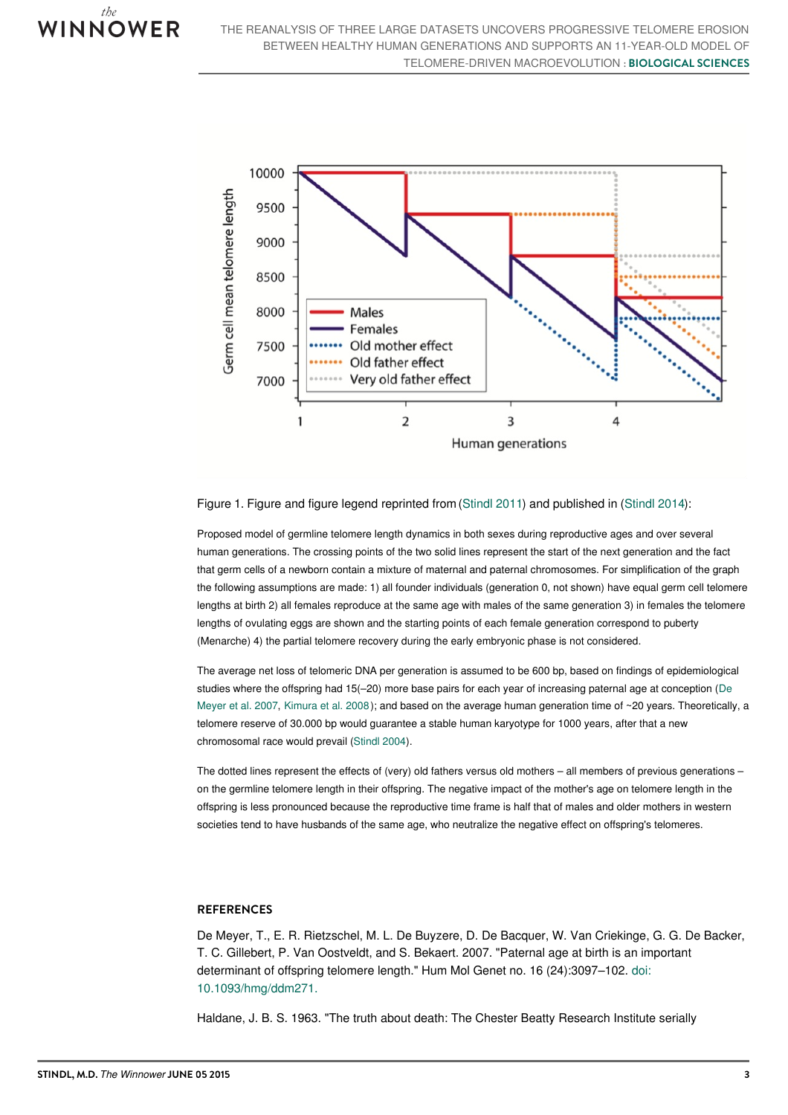



## Figure 1. Figure and figure legend reprinted from (Stindl 2011) and published in (Stindl 2014):

Proposed model of germline telomere length dynamics in both sexes during reproductive ages and over several human generations. The crossing points of the two solid lines represent the start of the next generation and the fact that germ cells of a newborn contain a mixture of maternal and paternal chromosomes. For simplification of the graph the following assumptions are made: 1) all founder individuals (generation 0, not shown) have equal germ cell telomere lengths at birth 2) all females reproduce at the same age with males of the same generation 3) in females the telomere lengths of ovulating eggs are shown and the starting points of each female generation correspond to puberty (Menarche) 4) the partial telomere recovery during the early embryonic phase is not considered.

The average net loss of telomeric DNA per generation is assumed to be 600 bp, based on findings of epidemiological studies where the offspring had 15(–20) more base pairs for each year of increasing paternal age at conception (De Meyer et al. 2007, Kimura et al. 2008); and based on the average human generation time of ~20 years. Theoretically, a telomere reserve of 30.000 bp would guarantee a stable human karyotype for 1000 years, after that a new chromosomal race would prevail (Stindl 2004).

The dotted lines represent the effects of (very) old fathers versus old mothers – all members of previous generations – on the germline telomere length in their offspring. The negative impact of the mother's age on telomere length in the offspring is less pronounced because the reproductive time frame is half that of males and older mothers in western societies tend to have husbands of the same age, who neutralize the negative effect on offspring's telomeres.

# **REFERENCES**

De Meyer, T., E. R. Rietzschel, M. L. De Buyzere, D. De Bacquer, W. Van Criekinge, G. G. De Backer, T. C. Gillebert, P. Van Oostveldt, and S. Bekaert. 2007. "Paternal age at birth is an important determinant of offspring telomere length." Hum Mol Genet no. 16 (24):3097–102. doi: [10.1093/hmg/ddm271.](https://dx.doi.org/10.1093/hmg/ddm271)

Haldane, J. B. S. 1963. "The truth about death: The Chester Beatty Research Institute serially